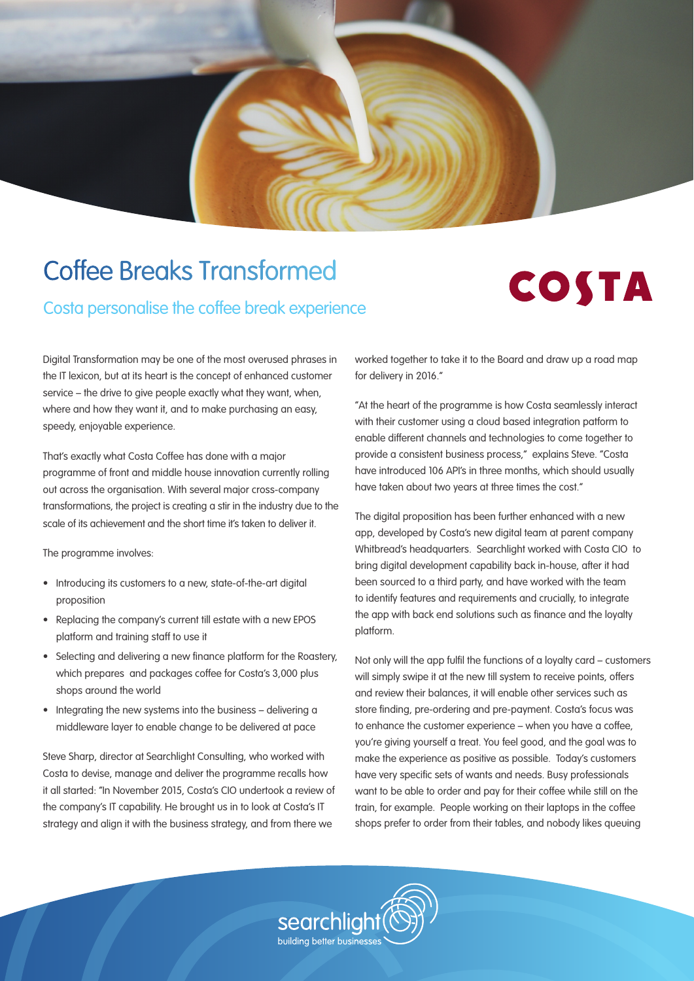

# Coffee Breaks Transformed

Costa personalise the coffee break experience



Digital Transformation may be one of the most overused phrases in the IT lexicon, but at its heart is the concept of enhanced customer service – the drive to give people exactly what they want, when, where and how they want it, and to make purchasing an easy, speedy, enjoyable experience.

That's exactly what Costa Coffee has done with a major programme of front and middle house innovation currently rolling out across the organisation. With several major cross-company transformations, the project is creating a stir in the industry due to the scale of its achievement and the short time it's taken to deliver it.

The programme involves:

- Introducing its customers to a new, state-of-the-art digital proposition
- Replacing the company's current till estate with a new EPOS platform and training staff to use it
- Selecting and delivering a new finance platform for the Roastery, which prepares and packages coffee for Costa's 3,000 plus shops around the world
- Integrating the new systems into the business delivering a middleware layer to enable change to be delivered at pace

Steve Sharp, director at Searchlight Consulting, who worked with Costa to devise, manage and deliver the programme recalls how it all started: "In November 2015, Costa's CIO undertook a review of the company's IT capability. He brought us in to look at Costa's IT strategy and align it with the business strategy, and from there we

worked together to take it to the Board and draw up a road map for delivery in 2016."

"At the heart of the programme is how Costa seamlessly interact with their customer using a cloud based integration patform to enable different channels and technologies to come together to provide a consistent business process," explains Steve. "Costa have introduced 106 API's in three months, which should usually have taken about two years at three times the cost."

The digital proposition has been further enhanced with a new app, developed by Costa's new digital team at parent company Whitbread's headquarters. Searchlight worked with Costa CIO to bring digital development capability back in-house, after it had been sourced to a third party, and have worked with the team to identify features and requirements and crucially, to integrate the app with back end solutions such as finance and the loyalty platform.

Not only will the app fulfil the functions of a loyalty card – customers will simply swipe it at the new till system to receive points, offers and review their balances, it will enable other services such as store finding, pre-ordering and pre-payment. Costa's focus was to enhance the customer experience – when you have a coffee, you're giving yourself a treat. You feel good, and the goal was to make the experience as positive as possible. Today's customers have very specific sets of wants and needs. Busy professionals want to be able to order and pay for their coffee while still on the train, for example. People working on their laptops in the coffee shops prefer to order from their tables, and nobody likes queuing